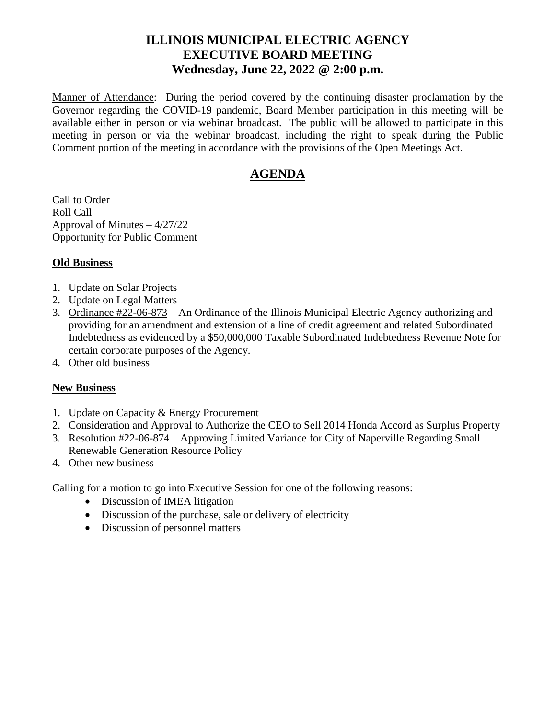# **ILLINOIS MUNICIPAL ELECTRIC AGENCY EXECUTIVE BOARD MEETING Wednesday, June 22, 2022 @ 2:00 p.m.**

Manner of Attendance: During the period covered by the continuing disaster proclamation by the Governor regarding the COVID-19 pandemic, Board Member participation in this meeting will be available either in person or via webinar broadcast. The public will be allowed to participate in this meeting in person or via the webinar broadcast, including the right to speak during the Public Comment portion of the meeting in accordance with the provisions of the Open Meetings Act.

# **AGENDA**

Call to Order Roll Call Approval of Minutes – 4/27/22 Opportunity for Public Comment

## **Old Business**

- 1. Update on Solar Projects
- 2. Update on Legal Matters
- 3. Ordinance #22-06-873 An Ordinance of the Illinois Municipal Electric Agency authorizing and providing for an amendment and extension of a line of credit agreement and related Subordinated Indebtedness as evidenced by a \$50,000,000 Taxable Subordinated Indebtedness Revenue Note for certain corporate purposes of the Agency.
- 4. Other old business

### **New Business**

- 1. Update on Capacity & Energy Procurement
- 2. Consideration and Approval to Authorize the CEO to Sell 2014 Honda Accord as Surplus Property
- 3. Resolution #22-06-874 Approving Limited Variance for City of Naperville Regarding Small Renewable Generation Resource Policy
- 4. Other new business

Calling for a motion to go into Executive Session for one of the following reasons:

- Discussion of IMEA litigation
- Discussion of the purchase, sale or delivery of electricity
- Discussion of personnel matters